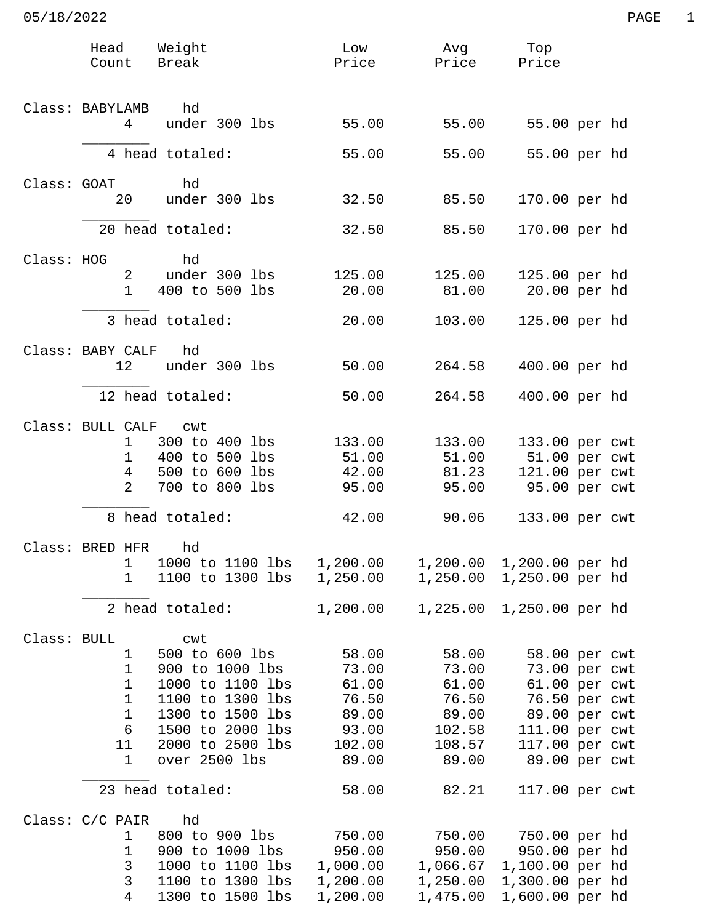|             | Head Weight<br>Count Break                                                                 |                                                                                                                                                               | Low<br>Price                                                          | Avg<br>Price                                                           | Top<br>Price                                                                                                                           |  |
|-------------|--------------------------------------------------------------------------------------------|---------------------------------------------------------------------------------------------------------------------------------------------------------------|-----------------------------------------------------------------------|------------------------------------------------------------------------|----------------------------------------------------------------------------------------------------------------------------------------|--|
|             | Class: BABYLAMB<br>4                                                                       | hd<br>under 300 lbs                                                                                                                                           | 55.00                                                                 | 55.00                                                                  | 55.00 per hd                                                                                                                           |  |
|             |                                                                                            | 4 head totaled:                                                                                                                                               | 55.00                                                                 | 55.00                                                                  | 55.00 per hd                                                                                                                           |  |
| Class: GOAT | 20                                                                                         | hd<br>under 300 lbs                                                                                                                                           | 32.50                                                                 | 85.50                                                                  | 170.00 per hd                                                                                                                          |  |
|             |                                                                                            | 20 head totaled:                                                                                                                                              | 32.50                                                                 | 85.50                                                                  | 170.00 per hd                                                                                                                          |  |
| Class: HOG  | 2<br>$\mathbf{1}$                                                                          | hd<br>under 300 lbs<br>400 to 500 lbs                                                                                                                         | 125.00<br>20.00                                                       | 125.00<br>81.00                                                        | 125.00 per hd<br>20.00 per hd                                                                                                          |  |
|             |                                                                                            | 3 head totaled:                                                                                                                                               | 20.00                                                                 | 103.00                                                                 | 125.00 per hd                                                                                                                          |  |
|             | Class: BABY CALF<br>12                                                                     | hd<br>under 300 lbs                                                                                                                                           | 50.00                                                                 | 264.58                                                                 | 400.00 per hd                                                                                                                          |  |
|             |                                                                                            | 12 head totaled:                                                                                                                                              | 50.00                                                                 | 264.58                                                                 | 400.00 per hd                                                                                                                          |  |
|             | Class: BULL CALF cwt<br>$1 \quad \Box$<br>$\mathbf 1$<br>$4\overline{ }$<br>$\overline{2}$ | 300 to 400 lbs<br>400 to 500 lbs<br>500 to 600 lbs<br>700 to 800 lbs                                                                                          | 133.00<br>51.00<br>42.00<br>95.00                                     | 133.00<br>51.00<br>81.23<br>95.00                                      | 133.00 per cwt<br>51.00 per cwt<br>121.00 per cwt<br>95.00 per cwt                                                                     |  |
|             |                                                                                            | 8 head totaled:                                                                                                                                               | 42.00                                                                 | 90.06                                                                  | 133.00 per cwt                                                                                                                         |  |
|             | Class: BRED HFR<br>1<br>1                                                                  | hd<br>1000 to 1100 lbs<br>1100 to 1300 lbs                                                                                                                    | 1,200.00<br>1,250.00                                                  | 1,200.00<br>1,250.00                                                   | 1,200.00 per hd<br>1,250.00 per hd                                                                                                     |  |
|             |                                                                                            | 2 head totaled:                                                                                                                                               | 1,200.00                                                              | 1,225.00                                                               | 1,250.00 per hd                                                                                                                        |  |
| Class: BULL | 1<br>$\mathbf 1$<br>1<br>$\mathbf 1$<br>$\mathbf 1$<br>6<br>11<br>1                        | cwt<br>500 to 600 lbs<br>900 to 1000 lbs<br>1000 to 1100 lbs<br>1100 to 1300 lbs<br>1300 to 1500 lbs<br>1500 to 2000 lbs<br>2000 to 2500 lbs<br>over 2500 lbs | 58.00<br>73.00<br>61.00<br>76.50<br>89.00<br>93.00<br>102.00<br>89.00 | 58.00<br>73.00<br>61.00<br>76.50<br>89.00<br>102.58<br>108.57<br>89.00 | 58.00 per cwt<br>73.00 per cwt<br>61.00 per cwt<br>76.50 per cwt<br>89.00 per cwt<br>111.00 per cwt<br>117.00 per cwt<br>89.00 per cwt |  |
|             |                                                                                            | 23 head totaled:                                                                                                                                              | 58.00                                                                 | 82.21                                                                  | 117.00 per cwt                                                                                                                         |  |
|             | Class: C/C PAIR<br>$\mathbf 1$<br>1<br>3<br>3<br>4                                         | hd<br>800 to 900 lbs<br>900 to 1000 lbs<br>1000 to 1100 lbs<br>1100 to 1300 lbs<br>1300 to 1500 lbs                                                           | 750.00<br>950.00<br>1,000.00<br>1,200.00<br>1,200.00                  | 750.00<br>950.00<br>1,066.67<br>1,250.00<br>1,475.00                   | 750.00 per hd<br>950.00 per hd<br>1,100.00 per hd<br>1,300.00 per hd<br>1,600.00 per hd                                                |  |